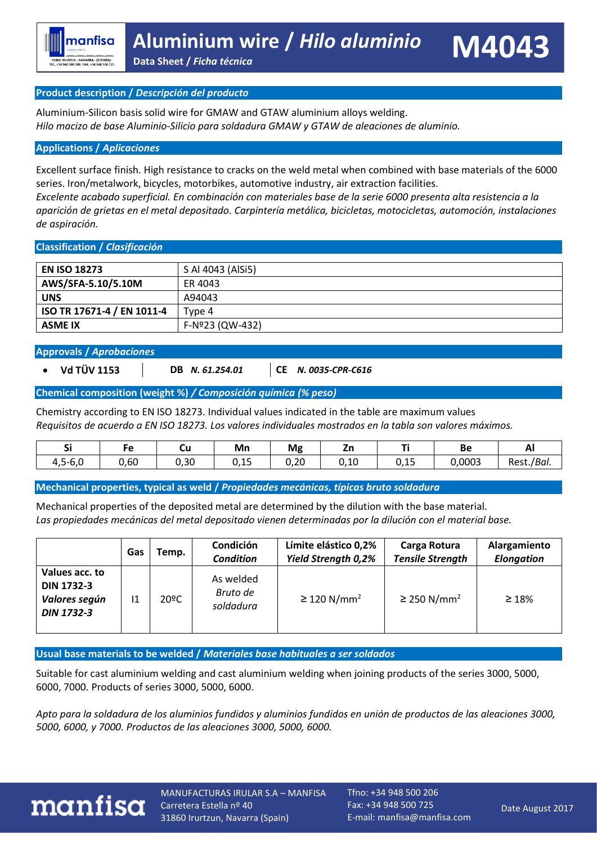#### **Product description /** *Descripción del producto*

Aluminium-Silicon basis solid wire for GMAW and GTAW aluminium alloys welding. *Hilo macizo de base Aluminio-Silicio para soldadura GMAW y GTAW de aleaciones de aluminio.*

#### **Applications /** *Aplicaciones*

Excellent surface finish. High resistance to cracks on the weld metal when combined with base materials of the 6000 series. Iron/metalwork, bicycles, motorbikes, automotive industry, air extraction facilities.

*Excelente acabado superficial. En combinación con materiales base de la serie 6000 presenta alta resistencia a la aparición de grietas en el metal depositado. Carpintería metálica, bicicletas, motocicletas, automoción, instalaciones de aspiración.* 

#### **Classification /** *Clasificación*

| <b>EN ISO 18273</b>        | S Al 4043 (AlSi5) |
|----------------------------|-------------------|
| AWS/SFA-5.10/5.10M         | ER 4043           |
| <b>UNS</b>                 | A94043            |
| ISO TR 17671-4 / EN 1011-4 | Type 4            |
| <b>ASME IX</b>             | F-Nº23 (QW-432)   |

#### **Approvals /** *Aprobaciones*

- **Vd TÜV 1153 DB** *N. 61.254.01* **CE** *N. 0035-CPR-C616*
- 

#### **Chemical composition (weight %)** */ Composición química (% peso)*

Chemistry according to EN ISO 18273. Individual values indicated in the table are maximum values *Requisitos de acuerdo a EN ISO 18273. Los valores individuales mostrados en la tabla son valores máximos.*

| - -<br>ັ                   |      | ~u   | Mn                                    | Mg           | ---              | --             | DЕ     | гu,           |
|----------------------------|------|------|---------------------------------------|--------------|------------------|----------------|--------|---------------|
| $\sim$ $\sim$<br>4,5<br>v, | 0,60 | 0,30 | -<br>$\overline{\phantom{a}}$<br>◡.⊥◡ | חר ח<br>J,∠U | $\Delta$<br>v,⊥u | $\sim$<br>∪,⊥J | 0,0003 | /Bai.<br>Rest |

**Mechanical properties, typical as weld /** *Propiedades mecánicas, típicas bruto soldadura*

Mechanical properties of the deposited metal are determined by the dilution with the base material. *Las propiedades mecánicas del metal depositado vienen determinadas por la dilución con el material base.*

|                                                                           | Gas | Temp. | <b>Condición</b><br><b>Condition</b> | Límite elástico 0,2%<br><b>Yield Strength 0,2%</b> | Carga Rotura<br><b>Tensile Strength</b> | Alargamiento<br><b>Elongation</b> |
|---------------------------------------------------------------------------|-----|-------|--------------------------------------|----------------------------------------------------|-----------------------------------------|-----------------------------------|
| Values acc. to<br><b>DIN 1732-3</b><br>Valores según<br><b>DIN 1732-3</b> | 11  | 20ºC  | As welded<br>Bruto de<br>soldadura   | $\geq$ 120 N/mm <sup>2</sup>                       | $\geq$ 250 N/mm <sup>2</sup>            | $\geq 18\%$                       |

**Usual base materials to be welded /** *Materiales base habituales a ser soldados*

Suitable for cast aluminium welding and cast aluminium welding when joining products of the series 3000, 5000, 6000, 7000. Products of series 3000, 5000, 6000.

*Apto para la soldadura de los aluminios fundidos y aluminios fundidos en unión de productos de las aleaciones 3000, 5000, 6000, y 7000. Productos de las aleaciones 3000, 5000, 6000.*



MANUFACTURAS IRULAR S.A – MANFISA Carretera Estella nº 40 31860 Irurtzun, Navarra (Spain)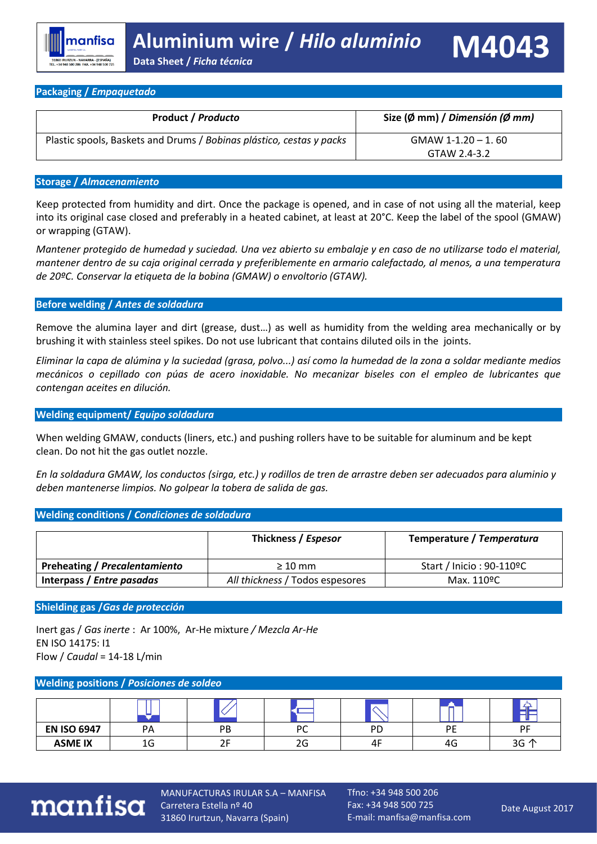| <b>Product / Producto</b>                                            | Size (Ø mm) / Dimensión (Ø mm) |
|----------------------------------------------------------------------|--------------------------------|
| Plastic spools, Baskets and Drums / Bobinas plástico, cestas y packs | $GMAW$ 1-1.20 $-$ 1.60         |
|                                                                      | GTAW 2.4-3.2                   |

#### **Storage /** *Almacenamiento*

Keep protected from humidity and dirt. Once the package is opened, and in case of not using all the material, keep into its original case closed and preferably in a heated cabinet, at least at 20°C. Keep the label of the spool (GMAW) or wrapping (GTAW).

*Mantener protegido de humedad y suciedad. Una vez abierto su embalaje y en caso de no utilizarse todo el material, mantener dentro de su caja original cerrada y preferiblemente en armario calefactado, al menos, a una temperatura de 20ºC. Conservar la etiqueta de la bobina (GMAW) o envoltorio (GTAW).*

#### **Before welding /** *Antes de soldadura*

Remove the alumina layer and dirt (grease, dust…) as well as humidity from the welding area mechanically or by brushing it with stainless steel spikes. Do not use lubricant that contains diluted oils in the joints.

*Eliminar la capa de alúmina y la suciedad (grasa, polvo...) así como la humedad de la zona a soldar mediante medios mecánicos o cepillado con púas de acero inoxidable. No mecanizar biseles con el empleo de lubricantes que contengan aceites en dilución.*

#### **Welding equipment/** *Equipo soldadura*

When welding GMAW, conducts (liners, etc.) and pushing rollers have to be suitable for aluminum and be kept clean. Do not hit the gas outlet nozzle.

*En la soldadura GMAW, los conductos (sirga, etc.) y rodillos de tren de arrastre deben ser adecuados para aluminio y deben mantenerse limpios. No golpear la tobera de salida de gas.*

#### **Welding conditions /** *Condiciones de soldadura*

|                               | Thickness / Espesor             | Temperature / Temperatura |
|-------------------------------|---------------------------------|---------------------------|
| Preheating / Precalentamiento | $\geq 10$ mm                    | Start / Inicio : 90-110ºC |
| Interpass / Entre pasadas     | All thickness / Todos espesores | Max. 110ºC                |

#### **Shielding gas /***Gas de protección*

Inert gas / *Gas inerte* : Ar 100%, Ar-He mixture */ Mezcla Ar-He*  EN ISO 14175: I1 Flow / *Caudal* = 14-18 L/min

#### **Welding positions /** *Posiciones de soldeo*

| <b>EN ISO 6947</b> | PA           | PB | DC<br>╰ | PD | DF | <b>DE</b> |
|--------------------|--------------|----|---------|----|----|-----------|
| <b>ASME IX</b>     | $\sim$<br>IJ |    | 2G      | 4F | 4G | 3G 个      |



MANUFACTURAS IRULAR S.A – MANFISA Carretera Estella nº 40 31860 Irurtzun, Navarra (Spain)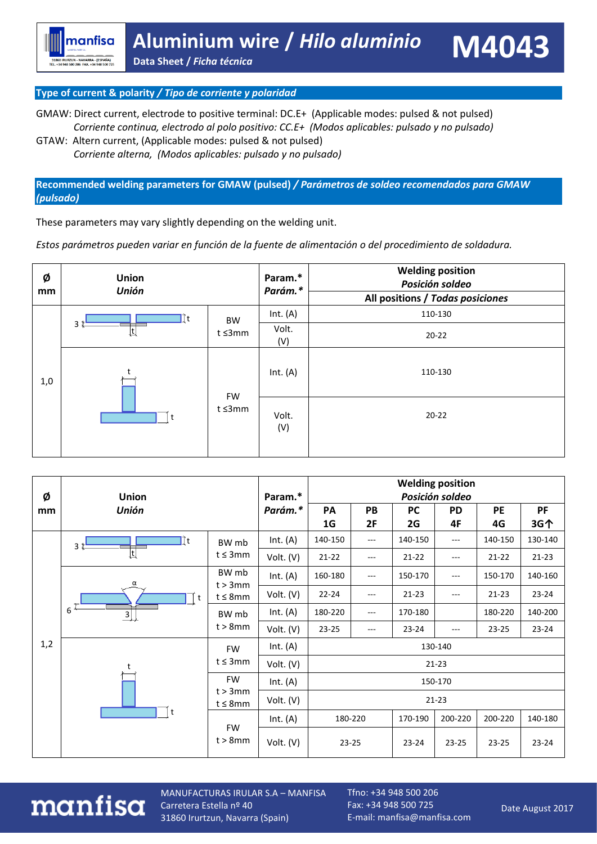### **Type of current & polarity** */ Tipo de corriente y polaridad*

manfisa

31860 IRURZUN - NAVARRA - (ESPAÑA)<br>TEL. +34 948 500 206 FAX. +34 948 500 725

GMAW: Direct current, electrode to positive terminal: DC.E+ (Applicable modes: pulsed & not pulsed)  *Corriente continua, electrodo al polo positivo: CC.E+ (Modos aplicables: pulsado y no pulsado)* 

GTAW: Altern current, (Applicable modes: pulsed & not pulsed)  *Corriente alterna, (Modos aplicables: pulsado y no pulsado)* 

**Recommended welding parameters for GMAW (pulsed)** */ Parámetros de soldeo recomendados para GMAW (pulsado)*

These parameters may vary slightly depending on the welding unit.

*Estos parámetros pueden variar en función de la fuente de alimentación o del procedimiento de soldadura.*

| Ø<br>mm | <b>Union</b><br><b>Unión</b> |                     | Param.*<br>Parám.* | <b>Welding position</b><br>Posición soldeo |
|---------|------------------------------|---------------------|--------------------|--------------------------------------------|
|         |                              |                     |                    | All positions / Todas posiciones           |
|         | ∏t                           | <b>BW</b>           | Int. $(A)$         | 110-130                                    |
|         | 3<br>Įſ                      | t ≤3mm              | Volt.<br>(V)       | $20 - 22$                                  |
| 1,0     | $\ddot{}$                    | <b>FW</b><br>t ≤3mm | Int. $(A)$         | 110-130                                    |
|         |                              |                     | Volt.<br>(V)       | $20 - 22$                                  |

| Ø   | <b>Union</b><br><b>Unión</b>  |                                          | Param.*    | <b>Welding position</b><br>Posición soldeo |           |           |                   |           |           |  |
|-----|-------------------------------|------------------------------------------|------------|--------------------------------------------|-----------|-----------|-------------------|-----------|-----------|--|
| mm  |                               |                                          | Parám.*    | PA                                         | PB        | <b>PC</b> | <b>PD</b>         | PE        | PF        |  |
|     |                               |                                          |            | 1G                                         | 2F        | 2G        | 4F                | 4G        | 3G个       |  |
|     | ∏t<br>3 <sup>†</sup>          | BW mb                                    | Int. $(A)$ | 140-150                                    | $---$     | 140-150   | $---$             | 140-150   | 130-140   |  |
|     | $\overline{\mathfrak{t}}$     | $t \leq 3mm$                             | Volt. (V)  | $21 - 22$                                  | $---$     | $21 - 22$ | $---$             | $21 - 22$ | $21 - 23$ |  |
|     | α<br>t<br>6<br>$\overline{3}$ | BW mb<br>$t > 3$ mm                      | Int. $(A)$ | 160-180                                    | $---$     | 150-170   | ---               | 150-170   | 140-160   |  |
|     |                               | $t \leq 8$ mm                            | Volt. (V)  | $22 - 24$                                  | $---$     | $21 - 23$ | $\qquad \qquad -$ | $21 - 23$ | $23 - 24$ |  |
|     |                               | BW mb<br>$t > 8$ mm                      | Int. $(A)$ | 180-220                                    | $---$     | 170-180   |                   | 180-220   | 140-200   |  |
|     |                               |                                          | Volt. (V)  | $23 - 25$                                  | $---$     | $23 - 24$ | ---               | 23-25     | $23 - 24$ |  |
| 1,2 |                               | <b>FW</b>                                | Int. $(A)$ | 130-140                                    |           |           |                   |           |           |  |
|     | t                             | t≤3mm                                    | Volt. (V)  | $21 - 23$                                  |           |           |                   |           |           |  |
|     |                               | <b>FW</b><br>$t > 3$ mm<br>$t \leq 8$ mm | Int. $(A)$ | 150-170                                    |           |           |                   |           |           |  |
|     |                               |                                          | Volt. (V)  |                                            | $21 - 23$ |           |                   |           |           |  |
|     |                               | FW                                       | Int. $(A)$ | 180-220                                    |           | 170-190   | 200-220           | 200-220   | 140-180   |  |
|     |                               | $t > 8$ mm                               | Volt. (V)  | $23 - 25$                                  |           | $23 - 24$ | $23 - 25$         | $23 - 25$ | $23 - 24$ |  |

## manfisa

MANUFACTURAS IRULAR S.A – MANFISA Carretera Estella nº 40 31860 Irurtzun, Navarra (Spain)